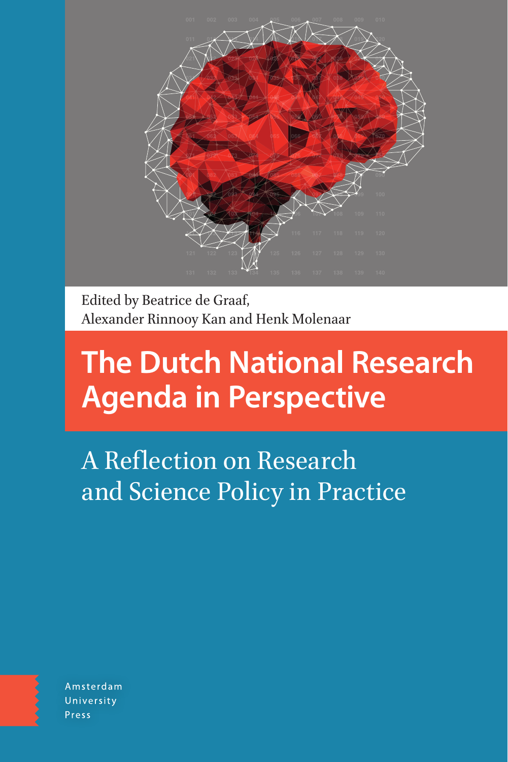

Edited by Beatrice de Graaf, Alexander Rinnooy Kan and Henk Molenaar

# **The Dutch National Research Agenda in Perspective**

A Reflection on Research and Science Policy in Practice

Amsterdam University Press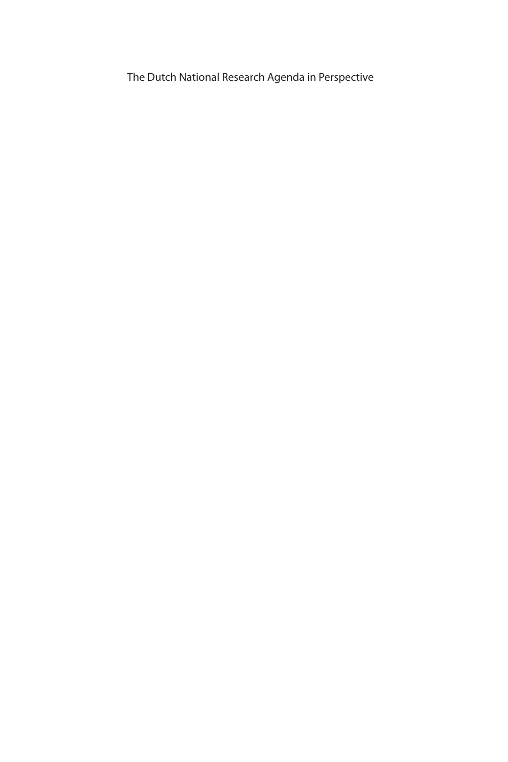The Dutch National Research Agenda in Perspective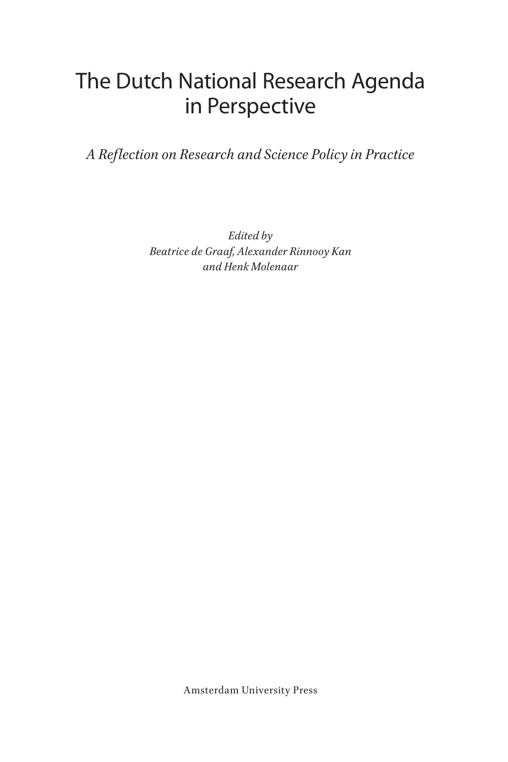## The Dutch National Research Agenda in Perspective

*A Reflection on Research and Science Policy in Practice*

*Edited by Beatrice de Graaf, Alexander Rinnooy Kan and Henk Molenaar*

Amsterdam University Press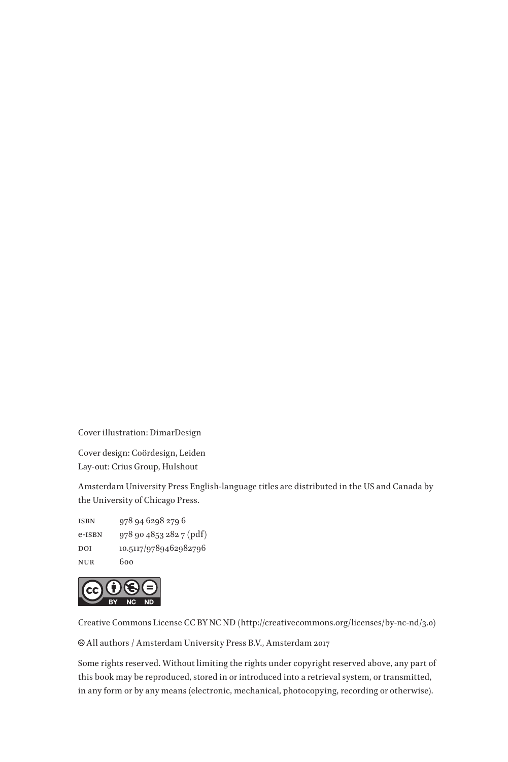Cover illustration: DimarDesign

Cover design: Coördesign, Leiden Lay-out: Crius Group, Hulshout

Amsterdam University Press English-language titles are distributed in the US and Canada by the University of Chicago Press.

isbn 978 94 6298 279 6 e-isbn 978 90 4853 282 7 (pdf) DOI 10.5117/9789462982796 nur 600



Creative Commons License CC BY NC ND (http://creativecommons.org/licenses/by-nc-nd/3.0)

All authors / Amsterdam University Press B.V., Amsterdam 2017

Some rights reserved. Without limiting the rights under copyright reserved above, any part of this book may be reproduced, stored in or introduced into a retrieval system, or transmitted, in any form or by any means (electronic, mechanical, photocopying, recording or otherwise).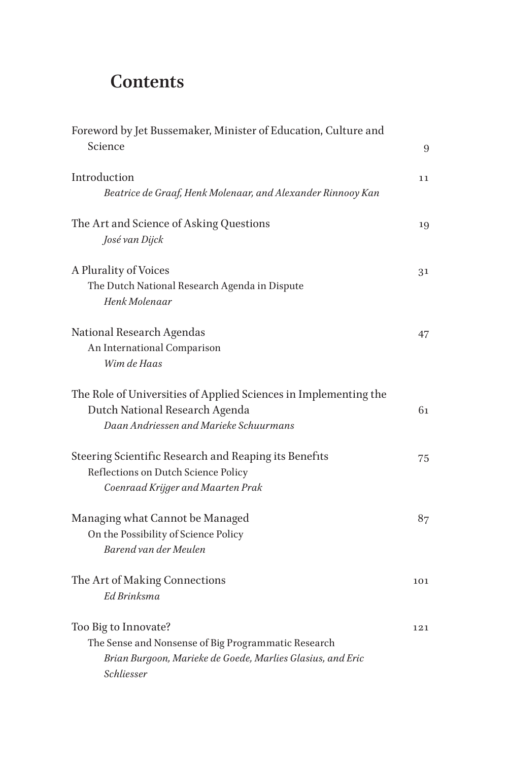## **Contents**

| Foreword by Jet Bussemaker, Minister of Education, Culture and   |     |
|------------------------------------------------------------------|-----|
| Science                                                          | 9   |
| Introduction                                                     | 11  |
| Beatrice de Graaf, Henk Molenaar, and Alexander Rinnooy Kan      |     |
| The Art and Science of Asking Questions                          | 19  |
| José van Dijck                                                   |     |
| A Plurality of Voices                                            | 31  |
| The Dutch National Research Agenda in Dispute                    |     |
| Henk Molenaar                                                    |     |
| National Research Agendas                                        | 47  |
| An International Comparison                                      |     |
| Wim de Haas                                                      |     |
| The Role of Universities of Applied Sciences in Implementing the |     |
| Dutch National Research Agenda                                   | 61  |
| Daan Andriessen and Marieke Schuurmans                           |     |
| Steering Scientific Research and Reaping its Benefits            | 75  |
| Reflections on Dutch Science Policy                              |     |
| Coenraad Krijger and Maarten Prak                                |     |
| Managing what Cannot be Managed                                  | 87  |
| On the Possibility of Science Policy                             |     |
| Barend van der Meulen                                            |     |
| The Art of Making Connections                                    | 101 |
| Ed Brinksma                                                      |     |
| Too Big to Innovate?                                             | 121 |
| The Sense and Nonsense of Big Programmatic Research              |     |
| Brian Burgoon, Marieke de Goede, Marlies Glasius, and Eric       |     |
| Schliesser                                                       |     |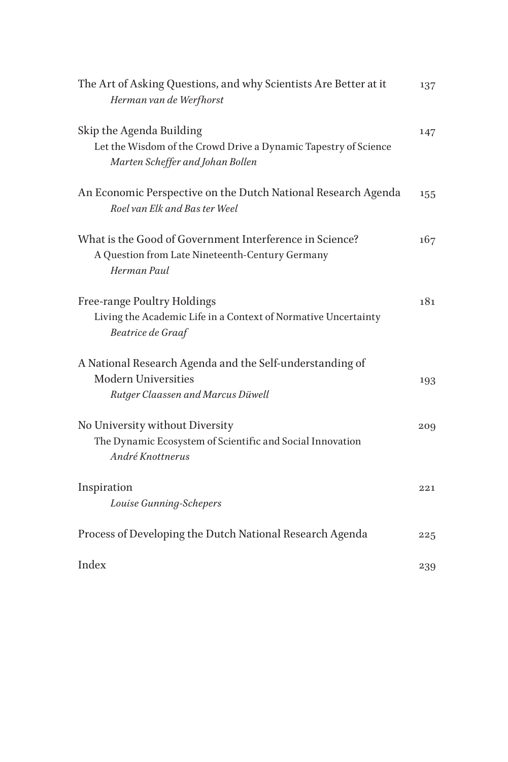| The Art of Asking Questions, and why Scientists Are Better at it<br>Herman van de Werfhorst                                     | 137 |
|---------------------------------------------------------------------------------------------------------------------------------|-----|
| Skip the Agenda Building<br>Let the Wisdom of the Crowd Drive a Dynamic Tapestry of Science<br>Marten Scheffer and Johan Bollen | 147 |
| An Economic Perspective on the Dutch National Research Agenda<br>Roel van Elk and Bas ter Weel                                  | 155 |
| What is the Good of Government Interference in Science?<br>A Question from Late Nineteenth-Century Germany<br>Herman Paul       | 167 |
| Free-range Poultry Holdings<br>Living the Academic Life in a Context of Normative Uncertainty<br>Beatrice de Graaf              | 181 |
| A National Research Agenda and the Self-understanding of<br><b>Modern Universities</b><br>Rutger Claassen and Marcus Düwell     | 193 |
| No University without Diversity<br>The Dynamic Ecosystem of Scientific and Social Innovation<br>André Knottnerus                | 209 |
| Inspiration<br>Louise Gunning-Schepers                                                                                          | 221 |
| Process of Developing the Dutch National Research Agenda                                                                        | 225 |
| Index                                                                                                                           | 239 |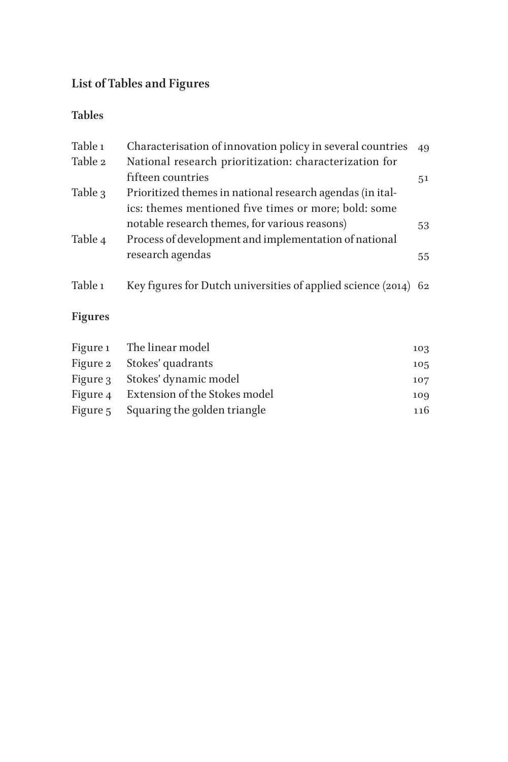#### **List of Tables and Figures**

#### **Tables**

| Table 1 | Characterisation of innovation policy in several countries   | 49 |
|---------|--------------------------------------------------------------|----|
| Table 2 | National research prioritization: characterization for       |    |
|         | fifteen countries                                            | 51 |
| Table 3 | Prioritized themes in national research agendas (in ital-    |    |
|         | ics: themes mentioned five times or more; bold: some         |    |
|         | notable research themes, for various reasons)                | 53 |
| Table 4 | Process of development and implementation of national        |    |
|         | research agendas                                             | 55 |
|         |                                                              |    |
| Table 1 | Key figures for Dutch universities of applied science (2014) | 62 |

#### **Figures**

| Figure 1 The linear model              | 103 |
|----------------------------------------|-----|
| Figure 2 Stokes' quadrants             | 105 |
| Figure 3 Stokes' dynamic model         | 107 |
| Figure 4 Extension of the Stokes model | 109 |
| Figure 5 Squaring the golden triangle  | 116 |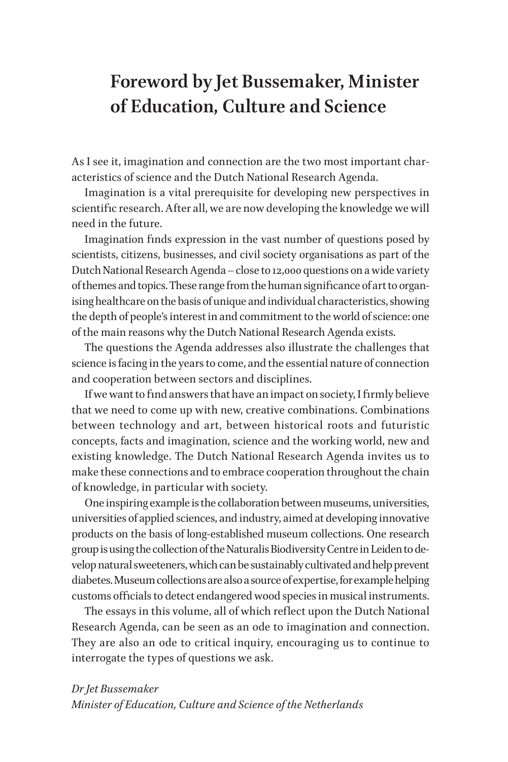## **Foreword by Jet Bussemaker, Minister of Education, Culture and Science**

As I see it, imagination and connection are the two most important characteristics of science and the Dutch National Research Agenda.

Imagination is a vital prerequisite for developing new perspectives in scientific research. After all, we are now developing the knowledge we will need in the future.

Imagination finds expression in the vast number of questions posed by scientists, citizens, businesses, and civil society organisations as part of the Dutch National Research Agenda – close to 12,000 questions on a wide variety of themes and topics. These range from the human significance of art to organising healthcare on the basis of unique and individual characteristics, showing the depth of people's interest in and commitment to the world of science: one of the main reasons why the Dutch National Research Agenda exists.

The questions the Agenda addresses also illustrate the challenges that science is facing in the years to come, and the essential nature of connection and cooperation between sectors and disciplines.

If we want to find answers that have an impact on society, I firmly believe that we need to come up with new, creative combinations. Combinations between technology and art, between historical roots and futuristic concepts, facts and imagination, science and the working world, new and existing knowledge. The Dutch National Research Agenda invites us to make these connections and to embrace cooperation throughout the chain of knowledge, in particular with society.

One inspiring example is the collaboration between museums, universities, universities of applied sciences, and industry, aimed at developing innovative products on the basis of long-established museum collections. One research group is using the collection of the Naturalis Biodiversity Centre in Leiden to develop natural sweeteners, which can be sustainably cultivated and help prevent diabetes. Museum collections are also a source of expertise, for example helping customs officials to detect endangered wood species in musical instruments.

The essays in this volume, all of which reflect upon the Dutch National Research Agenda, can be seen as an ode to imagination and connection. They are also an ode to critical inquiry, encouraging us to continue to interrogate the types of questions we ask.

#### *Dr Jet Bussemaker Minister of Education, Culture and Science of the Netherlands*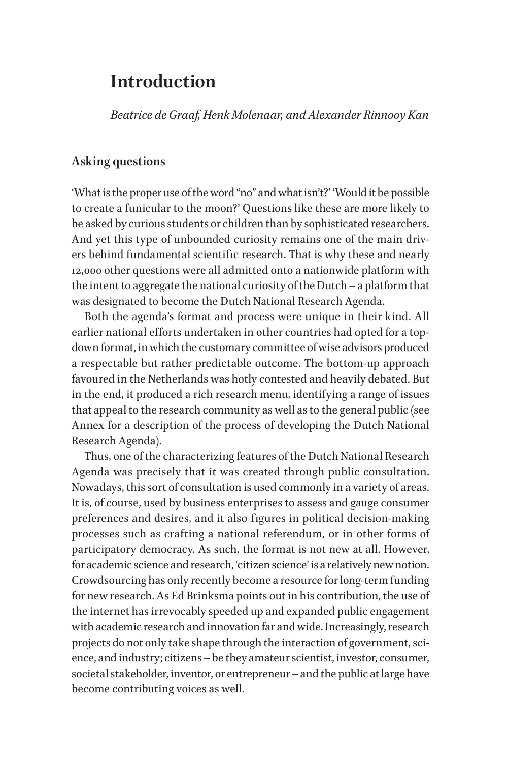### **Introduction**

*Beatrice de Graaf, Henk Molenaar, and Alexander Rinnooy Kan*

#### **Asking questions**

'What is the proper use of the word "no" and what isn't?' 'Would it be possible to create a funicular to the moon?' Questions like these are more likely to be asked by curious students or children than by sophisticated researchers. And yet this type of unbounded curiosity remains one of the main drivers behind fundamental scientific research. That is why these and nearly 12,000 other questions were all admitted onto a nationwide platform with the intent to aggregate the national curiosity of the Dutch – a platform that was designated to become the Dutch National Research Agenda.

Both the agenda's format and process were unique in their kind. All earlier national efforts undertaken in other countries had opted for a topdown format, in which the customary committee of wise advisors produced a respectable but rather predictable outcome. The bottom-up approach favoured in the Netherlands was hotly contested and heavily debated. But in the end, it produced a rich research menu, identifying a range of issues that appeal to the research community as well as to the general public (see Annex for a description of the process of developing the Dutch National Research Agenda).

Thus, one of the characterizing features of the Dutch National Research Agenda was precisely that it was created through public consultation. Nowadays, this sort of consultation is used commonly in a variety of areas. It is, of course, used by business enterprises to assess and gauge consumer preferences and desires, and it also figures in political decision-making processes such as crafting a national referendum, or in other forms of participatory democracy. As such, the format is not new at all. However, for academic science and research, 'citizen science' is a relatively new notion. Crowdsourcing has only recently become a resource for long-term funding for new research. As Ed Brinksma points out in his contribution, the use of the internet has irrevocably speeded up and expanded public engagement with academic research and innovation far and wide. Increasingly, research projects do not only take shape through the interaction of government, science, and industry; citizens – be they amateur scientist, investor, consumer, societal stakeholder, inventor, or entrepreneur – and the public at large have become contributing voices as well.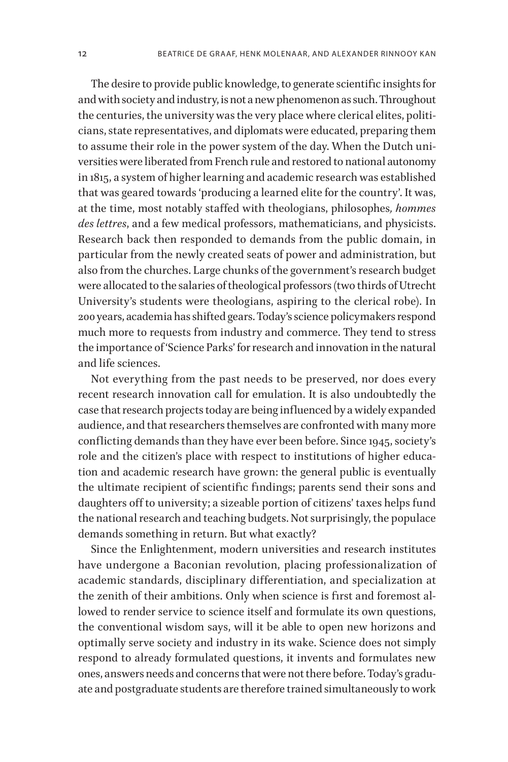The desire to provide public knowledge, to generate scientific insights for and with society and industry, is not a new phenomenon as such. Throughout the centuries, the university was the very place where clerical elites, politicians, state representatives, and diplomats were educated, preparing them to assume their role in the power system of the day. When the Dutch universities were liberated from French rule and restored to national autonomy in 1815, a system of higher learning and academic research was established that was geared towards 'producing a learned elite for the country'. It was, at the time, most notably stafffed with theologians, philosophes*, hommes des lettres*, and a few medical professors, mathematicians, and physicists. Research back then responded to demands from the public domain, in particular from the newly created seats of power and administration, but also from the churches. Large chunks of the government's research budget were allocated to the salaries of theological professors (two thirds of Utrecht University's students were theologians, aspiring to the clerical robe). In 200 years, academia has shifted gears. Today's science policymakers respond much more to requests from industry and commerce. They tend to stress the importance of 'Science Parks' for research and innovation in the natural and life sciences.

Not everything from the past needs to be preserved, nor does every recent research innovation call for emulation. It is also undoubtedly the case that research projects today are being influenced by a widely expanded audience, and that researchers themselves are confronted with many more conflicting demands than they have ever been before. Since 1945, society's role and the citizen's place with respect to institutions of higher education and academic research have grown: the general public is eventually the ultimate recipient of scientific findings; parents send their sons and daughters off to university; a sizeable portion of citizens' taxes helps fund the national research and teaching budgets. Not surprisingly, the populace demands something in return. But what exactly?

Since the Enlightenment, modern universities and research institutes have undergone a Baconian revolution, placing professionalization of academic standards, disciplinary diffferentiation, and specialization at the zenith of their ambitions. Only when science is first and foremost allowed to render service to science itself and formulate its own questions, the conventional wisdom says, will it be able to open new horizons and optimally serve society and industry in its wake. Science does not simply respond to already formulated questions, it invents and formulates new ones, answers needs and concerns that were not there before. Today's graduate and postgraduate students are therefore trained simultaneously to work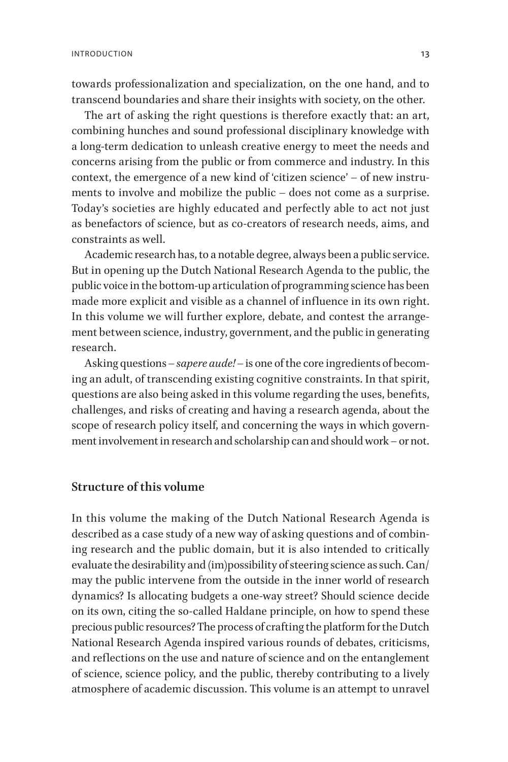towards professionalization and specialization, on the one hand, and to transcend boundaries and share their insights with society, on the other.

The art of asking the right questions is therefore exactly that: an art, combining hunches and sound professional disciplinary knowledge with a long-term dedication to unleash creative energy to meet the needs and concerns arising from the public or from commerce and industry. In this context, the emergence of a new kind of 'citizen science' – of new instruments to involve and mobilize the public – does not come as a surprise. Today's societies are highly educated and perfectly able to act not just as benefactors of science, but as co-creators of research needs, aims, and constraints as well.

Academic research has, to a notable degree, always been a public service. But in opening up the Dutch National Research Agenda to the public, the public voice in the bottom-up articulation of programming science has been made more explicit and visible as a channel of influence in its own right. In this volume we will further explore, debate, and contest the arrangement between science, industry, government, and the public in generating research.

Asking questions – *sapere aude!* – is one of the core ingredients of becoming an adult, of transcending existing cognitive constraints. In that spirit, questions are also being asked in this volume regarding the uses, benefits, challenges, and risks of creating and having a research agenda, about the scope of research policy itself, and concerning the ways in which government involvement in research and scholarship can and should work – or not.

#### **Structure of this volume**

In this volume the making of the Dutch National Research Agenda is described as a case study of a new way of asking questions and of combining research and the public domain, but it is also intended to critically evaluate the desirability and (im)possibility of steering science as such. Can/ may the public intervene from the outside in the inner world of research dynamics? Is allocating budgets a one-way street? Should science decide on its own, citing the so-called Haldane principle, on how to spend these precious public resources? The process of crafting the platform for the Dutch National Research Agenda inspired various rounds of debates, criticisms, and reflections on the use and nature of science and on the entanglement of science, science policy, and the public, thereby contributing to a lively atmosphere of academic discussion. This volume is an attempt to unravel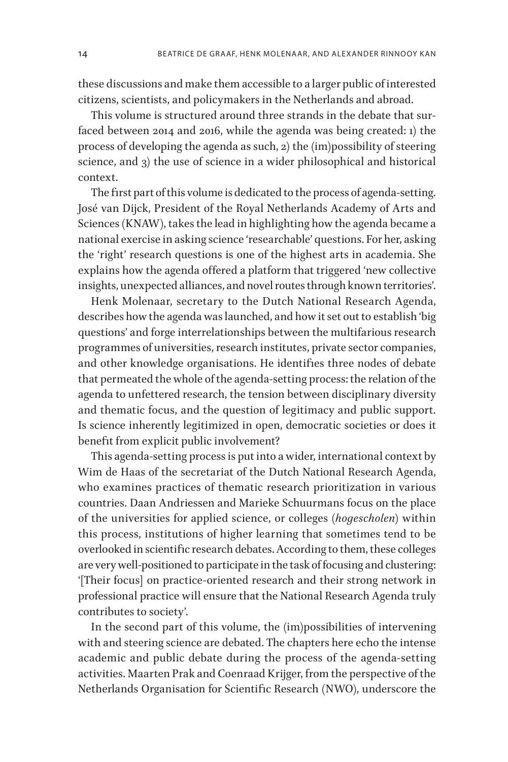these discussions and make them accessible to a larger public of interested citizens, scientists, and policymakers in the Netherlands and abroad.

This volume is structured around three strands in the debate that surfaced between 2014 and 2016, while the agenda was being created: 1) the process of developing the agenda as such, 2) the (im)possibility of steering science, and 3) the use of science in a wider philosophical and historical context.

The first part of this volume is dedicated to the process of agenda-setting. José van Dijck, President of the Royal Netherlands Academy of Arts and Sciences (KNAW), takes the lead in highlighting how the agenda became a national exercise in asking science 'researchable' questions. For her, asking the 'right' research questions is one of the highest arts in academia. She explains how the agenda offered a platform that triggered 'new collective insights, unexpected alliances, and novel routes through known territories'.

Henk Molenaar, secretary to the Dutch National Research Agenda, describes how the agenda was launched, and how it set out to establish 'big questions' and forge interrelationships between the multifarious research programmes of universities, research institutes, private sector companies, and other knowledge organisations. He identifies three nodes of debate that permeated the whole of the agenda-setting process: the relation of the agenda to unfettered research, the tension between disciplinary diversity and thematic focus, and the question of legitimacy and public support. Is science inherently legitimized in open, democratic societies or does it benefit from explicit public involvement?

This agenda-setting process is put into a wider, international context by Wim de Haas of the secretariat of the Dutch National Research Agenda, who examines practices of thematic research prioritization in various countries. Daan Andriessen and Marieke Schuurmans focus on the place of the universities for applied science, or colleges (*hogescholen*) within this process, institutions of higher learning that sometimes tend to be overlooked in scientific research debates. According to them, these colleges are very well-positioned to participate in the task of focusing and clustering: '[Their focus] on practice-oriented research and their strong network in professional practice will ensure that the National Research Agenda truly contributes to society'.

In the second part of this volume, the (im)possibilities of intervening with and steering science are debated. The chapters here echo the intense academic and public debate during the process of the agenda-setting activities. Maarten Prak and Coenraad Krijger, from the perspective of the Netherlands Organisation for Scientific Research (NWO), underscore the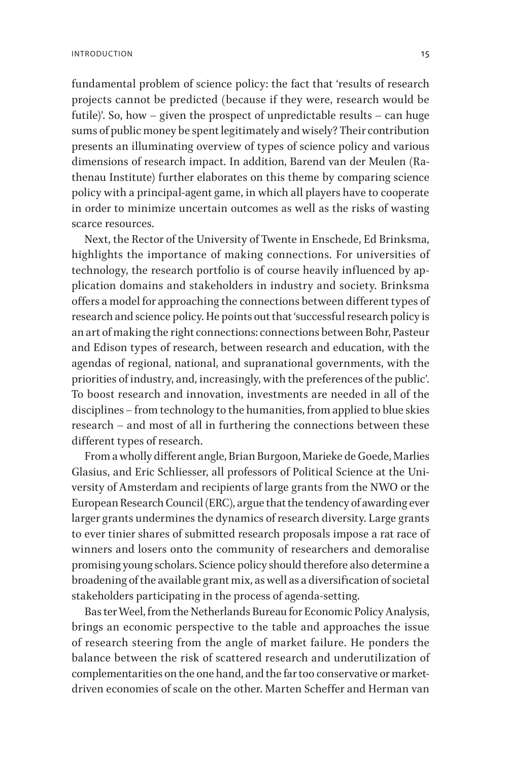fundamental problem of science policy: the fact that 'results of research projects cannot be predicted (because if they were, research would be futile)'. So, how – given the prospect of unpredictable results – can huge sums of public money be spent legitimately and wisely? Their contribution presents an illuminating overview of types of science policy and various dimensions of research impact. In addition, Barend van der Meulen (Rathenau Institute) further elaborates on this theme by comparing science policy with a principal-agent game, in which all players have to cooperate in order to minimize uncertain outcomes as well as the risks of wasting scarce resources.

Next, the Rector of the University of Twente in Enschede, Ed Brinksma, highlights the importance of making connections. For universities of technology, the research portfolio is of course heavily influenced by application domains and stakeholders in industry and society. Brinksma offers a model for approaching the connections between different types of research and science policy. He points out that 'successful research policy is an art of making the right connections: connections between Bohr, Pasteur and Edison types of research, between research and education, with the agendas of regional, national, and supranational governments, with the priorities of industry, and, increasingly, with the preferences of the public'. To boost research and innovation, investments are needed in all of the disciplines – from technology to the humanities, from applied to blue skies research – and most of all in furthering the connections between these different types of research.

From a wholly different angle, Brian Burgoon, Marieke de Goede, Marlies Glasius, and Eric Schliesser, all professors of Political Science at the University of Amsterdam and recipients of large grants from the NWO or the European Research Council (ERC), argue that the tendency of awarding ever larger grants undermines the dynamics of research diversity. Large grants to ever tinier shares of submitted research proposals impose a rat race of winners and losers onto the community of researchers and demoralise promising young scholars. Science policy should therefore also determine a broadening of the available grant mix, as well as a diversification of societal stakeholders participating in the process of agenda-setting.

Bas ter Weel, from the Netherlands Bureau for Economic Policy Analysis, brings an economic perspective to the table and approaches the issue of research steering from the angle of market failure. He ponders the balance between the risk of scattered research and underutilization of complementarities on the one hand, and the far too conservative or marketdriven economies of scale on the other. Marten Scheffer and Herman van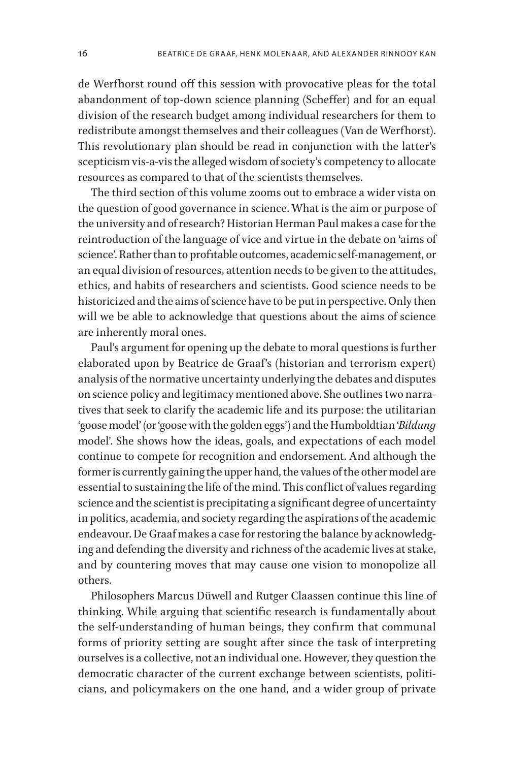de Werfhorst round off this session with provocative pleas for the total abandonment of top-down science planning (Scheffer) and for an equal division of the research budget among individual researchers for them to redistribute amongst themselves and their colleagues (Van de Werfhorst). This revolutionary plan should be read in conjunction with the latter's scepticism vis-a-vis the alleged wisdom of society's competency to allocate resources as compared to that of the scientists themselves.

The third section of this volume zooms out to embrace a wider vista on the question of good governance in science. What is the aim or purpose of the university and of research? Historian Herman Paul makes a case for the reintroduction of the language of vice and virtue in the debate on 'aims of science'. Rather than to profitable outcomes, academic self-management, or an equal division of resources, attention needs to be given to the attitudes, ethics, and habits of researchers and scientists. Good science needs to be historicized and the aims of science have to be put in perspective. Only then will we be able to acknowledge that questions about the aims of science are inherently moral ones.

Paul's argument for opening up the debate to moral questions is further elaborated upon by Beatrice de Graaf's (historian and terrorism expert) analysis of the normative uncertainty underlying the debates and disputes on science policy and legitimacy mentioned above. She outlines two narratives that seek to clarify the academic life and its purpose: the utilitarian 'goose model' (or 'goose with the golden eggs') and the Humboldtian '*Bildung* model'. She shows how the ideas, goals, and expectations of each model continue to compete for recognition and endorsement. And although the former is currently gaining the upper hand, the values of the other model are essential to sustaining the life of the mind. This conflict of values regarding science and the scientist is precipitating a significant degree of uncertainty in politics, academia, and society regarding the aspirations of the academic endeavour. De Graaf makes a case for restoring the balance by acknowledging and defending the diversity and richness of the academic lives at stake, and by countering moves that may cause one vision to monopolize all others.

Philosophers Marcus Düwell and Rutger Claassen continue this line of thinking. While arguing that scientific research is fundamentally about the self-understanding of human beings, they confirm that communal forms of priority setting are sought after since the task of interpreting ourselves is a collective, not an individual one. However, they question the democratic character of the current exchange between scientists, politicians, and policymakers on the one hand, and a wider group of private